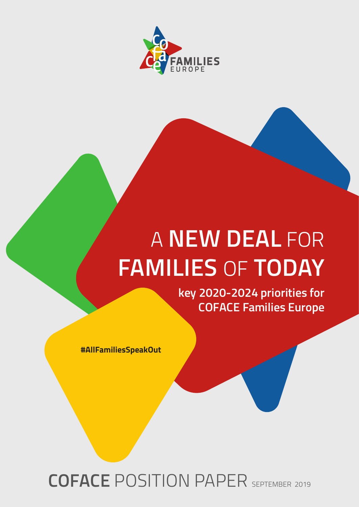

# A **NEW DEAL** FOR **FAMILIES** OF **TODAY**

**key 2020-2024 priorities for COFACE Families Europe**

**#AllFamiliesSpeakOut**

**COFACE** POSITION PAPER SEPTEMBER 2019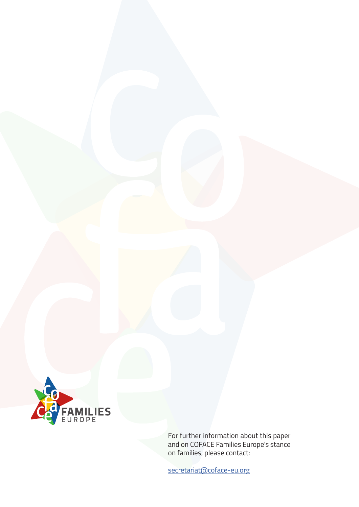

For further information about this paper and on COFACE Families Europe's stance on families, please contact:

[secretariat@coface-eu.org](mailto: secretariat@coface-eu.org)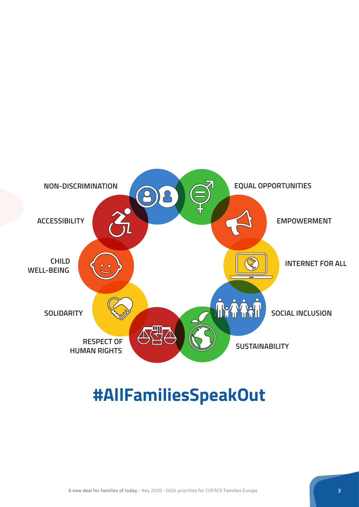

### **#AllFamiliesSpeakOut**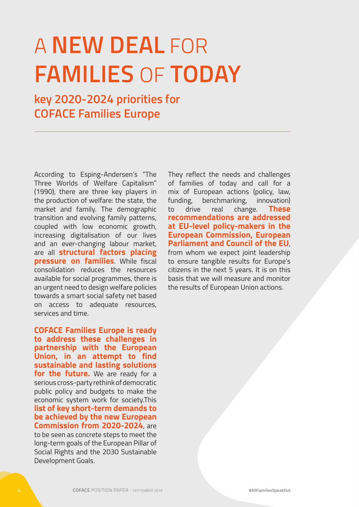## A **NEW DEAL** FOR **FAMILIES** OF **TODAY**

**key 2020-2024 priorities for COFACE Families Europe**

According to Esping-Andersen's "The Three Worlds of Welfare Capitalism" (1990), there are three key players in the production of welfare: the state, the market and family. The demographic transition and evolving family patterns, coupled with low economic growth, increasing digitalisation of our lives and an ever-changing labour market, are all **structural factors placing pressure on families**. While fiscal consolidation reduces the resources available for social programmes, there is an urgent need to design welfare policies towards a smart social safety net based on access to adequate resources, services and time.

**COFACE Families Europe is ready to address these challenges in partnership with the European Union, in an attempt to find sustainable and lasting solutions**  for the future. We are ready for a serious cross-party rethink of democratic public policy and budgets to make the economic system work for society.This **list of key short-term demands to be achieved by the new European Commission from 2020-2024**, are to be seen as concrete steps to meet the long-term goals of the European Pillar of Social Rights and the 2030 Sustainable Development Goals.

They reflect the needs and challenges of families of today and call for a mix of European actions (policy, law, funding, benchmarking, innovation) to drive real change. **These recommendations are addressed at EU-level policy-makers in the European Commission, European Parliament and Council of the EU**, from whom we expect joint leadership to ensure tangible results for Europe's citizens in the next 5 years. It is on this basis that we will measure and monitor the results of European Union actions.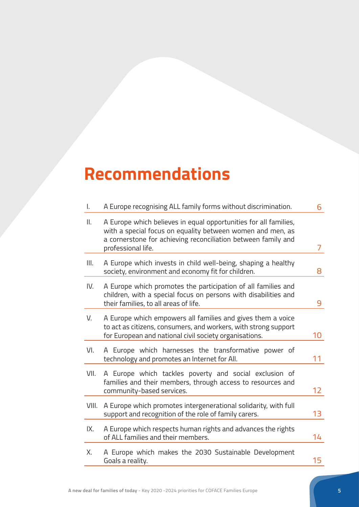## **Recommendations**

| I.    | A Europe recognising ALL family forms without discrimination.                                                                                                                                                         | 6               |
|-------|-----------------------------------------------------------------------------------------------------------------------------------------------------------------------------------------------------------------------|-----------------|
| ΙΙ.   | A Europe which believes in equal opportunities for all families,<br>with a special focus on equality between women and men, as<br>a cornerstone for achieving reconciliation between family and<br>professional life. | $\overline{7}$  |
| Ш.    | A Europe which invests in child well-being, shaping a healthy<br>society, environment and economy fit for children.                                                                                                   | 8               |
| IV.   | A Europe which promotes the participation of all families and<br>children, with a special focus on persons with disabilities and<br>their families, to all areas of life.                                             | 9               |
| V.    | A Europe which empowers all families and gives them a voice<br>to act as citizens, consumers, and workers, with strong support<br>for European and national civil society organisations.                              | 10              |
| VI.   | A Europe which harnesses the transformative power of<br>technology and promotes an Internet for All.                                                                                                                  | 11              |
| VII.  | A Europe which tackles poverty and social exclusion of<br>families and their members, through access to resources and<br>community-based services.                                                                    | 12 <sub>2</sub> |
| VIII. | A Europe which promotes intergenerational solidarity, with full<br>support and recognition of the role of family carers.                                                                                              | 13              |
| IX.   | A Europe which respects human rights and advances the rights<br>of ALL families and their members.                                                                                                                    | 14              |
| Х.    | A Europe which makes the 2030 Sustainable Development<br>Goals a reality.                                                                                                                                             | 15 <sub>1</sub> |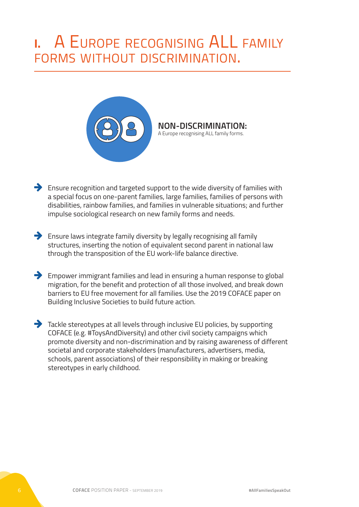### **I.** A Europe recognising ALL family forms without discrimination.



#### **NON-DISCRIMINATION:**  A Europe recognising ALL family forms.

- $\rightarrow$  Ensure recognition and targeted support to the wide diversity of families with a special focus on one-parent families, large families, families of persons with disabilities, rainbow families, and families in vulnerable situations; and further impulse sociological research on new family forms and needs.
- $\blacktriangleright$  Ensure laws integrate family diversity by legally recognising all family structures, inserting the notion of equivalent second parent in national law through the transposition of the EU work-life balance directive.
- $\rightarrow$  Empower immigrant families and lead in ensuring a human response to global migration, for the benefit and protection of all those involved, and break down barriers to EU free movement for all families. Use the 2019 COFACE paper on Building Inclusive Societies to build future action.
- $\rightarrow$  Tackle stereotypes at all levels through inclusive EU policies, by supporting COFACE (e.g. #ToysAndDiversity) and other civil society campaigns which promote diversity and non-discrimination and by raising awareness of different societal and corporate stakeholders (manufacturers, advertisers, media, schools, parent associations) of their responsibility in making or breaking stereotypes in early childhood.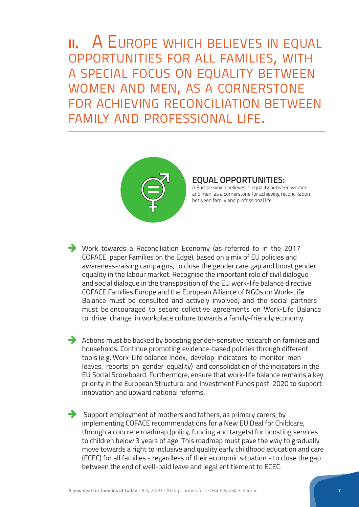**II.** A EUROPE WHICH BELIEVES IN EQUAL opportunities for all families, with a special focus on equality between women and men, as <sup>a</sup> cornerstone for achieving reconciliation between family and professional life.



#### **EQUAL OPPORTUNITIES:**

A Europe which believes in equality between women and men, as a cornerstone for achieving reconciliation between family and professional life.

 $\rightarrow$  Work towards a Reconciliation Economy (as referred to in the 2017 COFACE paper Families on the Edge), based on a mix of EU policies and awareness-raising campaigns, to close the gender care gap and boost gender equality in the labour market. Recognise the important role of civil dialogue and social dialogue in the transposition of the EU work-life balance directive: COFACE Families Europe and the European Alliance of NGOs on Work-Life Balance must be consulted and actively involved; and the social partners must be encouraged to secure collective agreements on Work-Life Balance to drive change in workplace culture towards a family-friendly economy.

 $\rightarrow$  Actions must be backed by boosting gender-sensitive research on families and households. Continue promoting evidence-based policies through different tools (e.g. Work-Life balance Index, develop indicators to monitor men leaves, reports on gender equality) and consolidation of the indicators in the EU Social Scoreboard. Furthermore, ensure that work-life balance remains a key priority in the European Structural and Investment Funds post-2020 to support innovation and upward national reforms.

 $\rightarrow$  Support employment of mothers and fathers, as primary carers, by implementing COFACE recommendations for a New EU Deal for Childcare, through a concrete roadmap (policy, funding and targets) for boosting services to children below 3 years of age. This roadmap must pave the way to gradually move towards a right to inclusive and quality early childhood education and care (ECEC) for all families - regardless of their economic situation - to close the gap between the end of well-paid leave and legal entitlement to ECEC.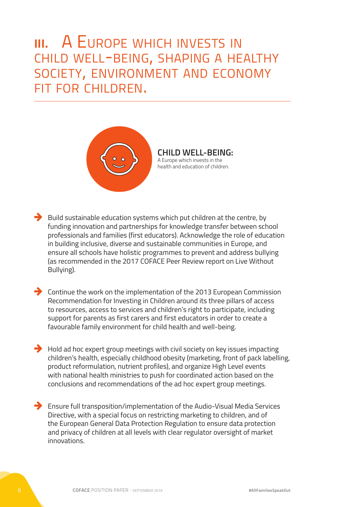#### **III.** A Europe which invests in child well-being, shaping <sup>a</sup> healthy society, environment and economy fit for children.



**CHILD WELL-BEING:**  A Europe which invests in the health and education of children.

 $\rightarrow$  Build sustainable education systems which put children at the centre, by funding innovation and partnerships for knowledge transfer between school professionals and families (first educators). Acknowledge the role of education in building inclusive, diverse and sustainable communities in Europe, and ensure all schools have holistic programmes to prevent and address bullying (as recommended in the 2017 COFACE Peer Review report on Live Without Bullying).

- $\rightarrow$  Continue the work on the implementation of the 2013 European Commission Recommendation for Investing in Children around its three pillars of access to resources, access to services and children's right to participate, including support for parents as first carers and first educators in order to create a favourable family environment for child health and well-being.
- $\rightarrow$  Hold ad hoc expert group meetings with civil society on key issues impacting children's health, especially childhood obesity (marketing, front of pack labelling, product reformulation, nutrient profiles), and organize High Level events with national health ministries to push for coordinated action based on the conclusions and recommendations of the ad hoc expert group meetings.
- $\rightarrow$  Ensure full transposition/implementation of the Audio-Visual Media Services Directive, with a special focus on restricting marketing to children, and of the European General Data Protection Regulation to ensure data protection and privacy of children at all levels with clear regulator oversight of market innovations.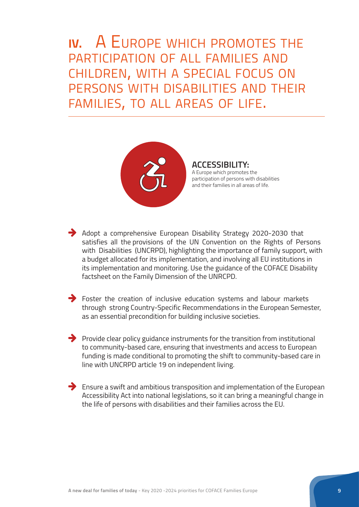**IV.** A Europe which promotes the participation of all families and children, with <sup>a</sup> special focus on persons with disabilities and their families, to all areas of life.



**ACCESSIBILITY:**  A Europe which promotes the participation of persons with disabilities and their families in all areas of life.

 $\rightarrow$  Adopt a comprehensive European Disability Strategy 2020-2030 that satisfies all the provisions of the UN Convention on the Rights of Persons with Disabilities (UNCRPD), highlighting the importance of family support, with a budget allocated for its implementation, and involving all EU institutions in its implementation and monitoring. Use the guidance of the COFACE Disability factsheet on the Family Dimension of the UNRCPD.

 $\rightarrow$  Foster the creation of inclusive education systems and labour markets through strong Country-Specific Recommendations in the European Semester, as an essential precondition for building inclusive societies.

 $\rightarrow$  Provide clear policy guidance instruments for the transition from institutional to community-based care, ensuring that investments and access to European funding is made conditional to promoting the shift to community-based care in line with UNCRPD article 19 on independent living.

 $\rightarrow$  Ensure a swift and ambitious transposition and implementation of the European Accessibility Act into national legislations, so it can bring a meaningful change in the life of persons with disabilities and their families across the EU.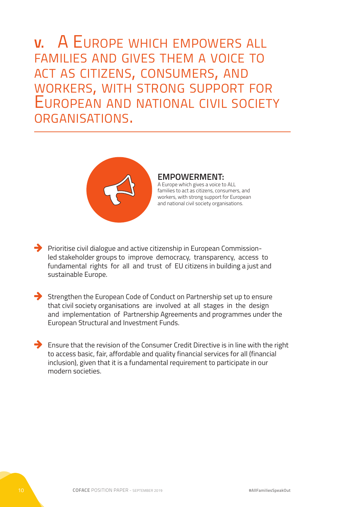**V.** A Europe which empowers all families and gives them a voice to act as citizens, consumers, and workers, with strong support for European and national civil society organisations.



#### **EMPOWERMENT:**

A Europe which gives a voice to ALL families to act as citizens, consumers, and workers, with strong support for European and national civil society organisations.

- $\rightarrow$  Prioritise civil dialogue and active citizenship in European Commissionled stakeholder groups to improve democracy, transparency, access to fundamental rights for all and trust of EU citizens in building a just and sustainable Europe.
- $\rightarrow$  Strengthen the European Code of Conduct on Partnership set up to ensure that civil society organisations are involved at all stages in the design and implementation of Partnership Agreements and programmes under the European Structural and Investment Funds.
- $\rightarrow$  Ensure that the revision of the Consumer Credit Directive is in line with the right to access basic, fair, affordable and quality financial services for all (financial inclusion), given that it is a fundamental requirement to participate in our modern societies.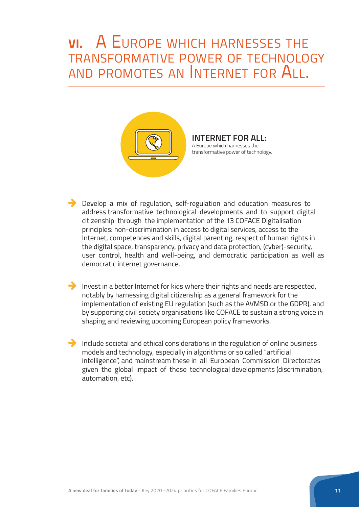### **VI.** A Europe which harnesses the transformative power of technology and promotes an Internet for All.



**INTERNET FOR ALL:**  A Europe which harnesses the transformative power of technology.

 $\rightarrow$  Develop a mix of regulation, self-regulation and education measures to address transformative technological developments and to support digital citizenship through the implementation of the 13 COFACE Digitalisation principles: non-discrimination in access to digital services, access to the Internet, competences and skills, digital parenting, respect of human rights in the digital space, transparency, privacy and data protection, (cyber)-security, user control, health and well-being, and democratic participation as well as democratic internet governance.

 $\rightarrow$  Invest in a better Internet for kids where their rights and needs are respected, notably by harnessing digital citizenship as a general framework for the implementation of existing EU regulation (such as the AVMSD or the GDPR), and by supporting civil society organisations like COFACE to sustain a strong voice in shaping and reviewing upcoming European policy frameworks.

 $\rightarrow$  Include societal and ethical considerations in the regulation of online business models and technology, especially in algorithms or so called "artificial intelligence", and mainstream these in all European Commission Directorates given the global impact of these technological developments (discrimination, automation, etc).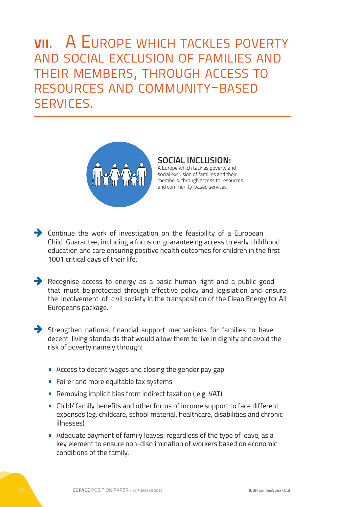#### **VII. A EUROPE WHICH TACKLES POVERTY** and social exclusion of families and their members, through access to resources and community-based services.



**SOCIAL INCLUSION:**  A Europe which tackles poverty and social exclusion of families and their members, through access to resources and community-based services.

 $\rightarrow$  Continue the work of investigation on the feasibility of a European Child Guarantee, including a focus on guaranteeing access to early childhood education and care ensuring positive health outcomes for children in the first 1001 critical days of their life.

 $\rightarrow$  Recognise access to energy as a basic human right and a public good that must be protected through effective policy and legislation and ensure the involvement of civil society in the transposition of the Clean Energy for All Europeans package.

 $\rightarrow$  Strengthen national financial support mechanisms for families to have decent living standards that would allow them to live in dignity and avoid the risk of poverty namely through:

- **•** Access to decent wages and closing the gender pay gap
- **•** Fairer and more equitable tax systems
- **•** Removing implicit bias from indirect taxation ( e.g. VAT)
- **•** Child/ family benefits and other forms of income support to face different expenses (eg. childcare, school material, healthcare, disabilities and chronic illnesses)
- **•** Adequate payment of family leaves, regardless of the type of leave, as a key element to ensure non-discrimination of workers based on economic conditions of the family.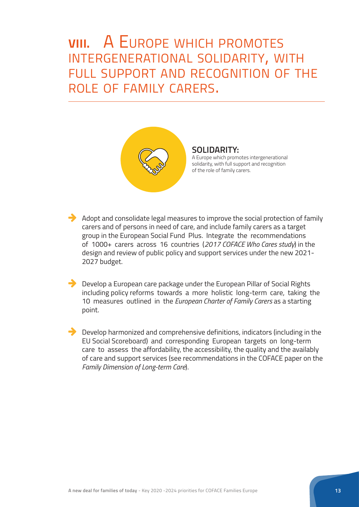### **VIII.** A Europe which promotes intergenerational solidarity, with full support and recognition of the role of family carers.



**SOLIDARITY:**  A Europe which promotes intergenerational solidarity, with full support and recognition of the role of family carers.

 $\rightarrow$  Adopt and consolidate legal measures to improve the social protection of family carers and of persons in need of care, and include family carers as a target group in the European Social Fund Plus. Integrate the recommendations of 1000+ carers across 16 countries (*2017 COFACE Who Cares study*) in the design and review of public policy and support services under the new 2021- 2027 budget.

 $\blacktriangleright$  Develop a European care package under the European Pillar of Social Rights including policy reforms towards a more holistic long-term care, taking the 10 measures outlined in the *European Charter of Family Carers* as a starting point.

 $\rightarrow$  Develop harmonized and comprehensive definitions, indicators (including in the EU Social Scoreboard) and corresponding European targets on long-term care to assess the affordability, the accessibility, the quality and the availably of care and support services (see recommendations in the COFACE paper on the *Family Dimension of Long-term Care*).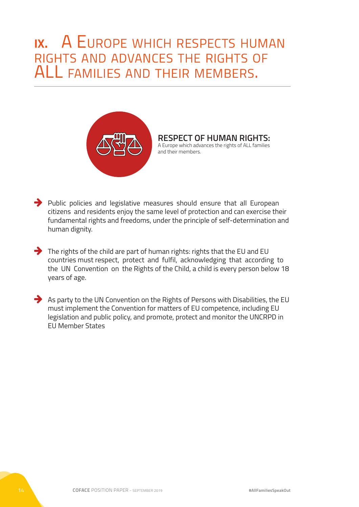#### **IX.** A Europe which respects human rights and advances the rights of ALL families and their members.



#### **RESPECT OF HUMAN RIGHTS:**  A Europe which advances the rights of ALL families and their members.

 $\rightarrow$  Public policies and legislative measures should ensure that all European citizens and residents enjoy the same level of protection and can exercise their fundamental rights and freedoms, under the principle of self-determination and human dignity.

- $\rightarrow$  The rights of the child are part of human rights: rights that the EU and EU countries must respect, protect and fulfil, acknowledging that according to the UN Convention on the Rights of the Child, a child is every person below 18 years of age.
- $\rightarrow$  As party to the UN Convention on the Rights of Persons with Disabilities, the EU must implement the Convention for matters of EU competence, including EU legislation and public policy, and promote, protect and monitor the UNCRPD in EU Member States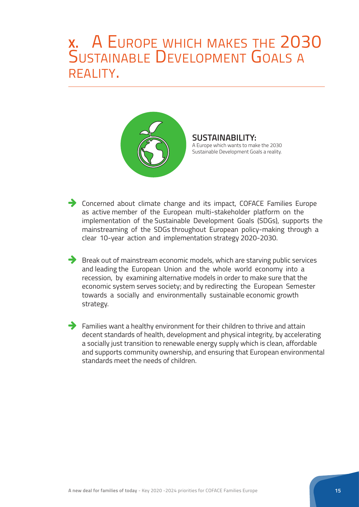### **X.** A Europe which makes the 2030 SUSTAINABLE DEVELOPMENT GOALS RFAI ITY.



**SUSTAINABILITY:**  A Europe which wants to make the 2030 Sustainable Development Goals a reality.

**Concerned about climate change and its impact, COFACE Families Europe** as active member of the European multi-stakeholder platform on the implementation of the Sustainable Development Goals (SDGs), supports the mainstreaming of the SDGs throughout European policy-making through a clear 10-year action and implementation strategy 2020-2030.

 $\rightarrow$  Break out of mainstream economic models, which are starving public services and leading the European Union and the whole world economy into a recession, by examining alternative models in order to make sure that the economic system serves society; and by redirecting the European Semester towards a socially and environmentally sustainable economic growth strategy.

 $\rightarrow$  Families want a healthy environment for their children to thrive and attain decent standards of health, development and physical integrity, by accelerating a socially just transition to renewable energy supply which is clean, affordable and supports community ownership, and ensuring that European environmental standards meet the needs of children.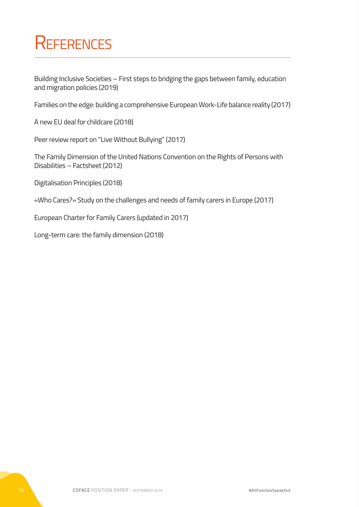### **REFERENCES**

Building Inclusive Societies – First steps to bridging the gaps between family, education and migration policies (2019)

Families on the edge: building a comprehensive European Work-Life balance reality (2017)

A new EU deal for childcare (2018)

Peer review report on "Live Without Bullying" (2017)

The Family Dimension of the United Nations Convention on the Rights of Persons with Disabilities – Factsheet (2012)

Digitalisation Principles (2018)

«Who Cares?» Study on the challenges and needs of family carers in Europe (2017)

European Charter for Family Carers (updated in 2017)

Long-term care: the family dimension (2018)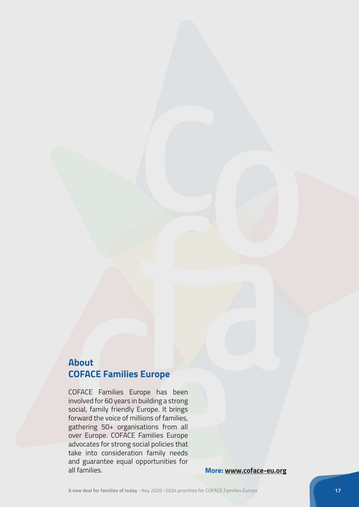#### **About COFACE Families Europe**

COFACE Families Europe has been involved for 60 years in building a strong social, family friendly Europe. It brings forward the voice of millions of families, gathering 50+ organisations from all over Europe. COFACE Families Europe advocates for strong social policies that take into consideration family needs and guarantee equal opportunities for all families. **More: [www.coface-eu.org](http://www.coface-eu.org)**